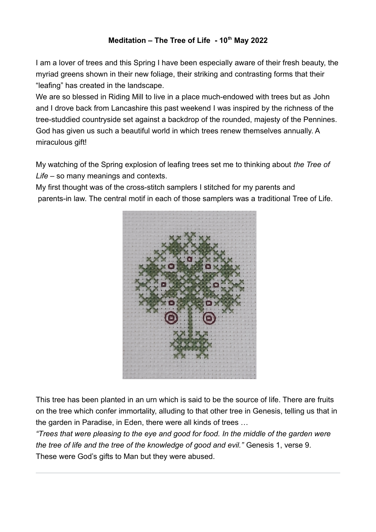## **Meditation – The Tree of Life - 10th May 2022**

I am a lover of trees and this Spring I have been especially aware of their fresh beauty, the myriad greens shown in their new foliage, their striking and contrasting forms that their "leafing" has created in the landscape.

We are so blessed in Riding Mill to live in a place much-endowed with trees but as John and I drove back from Lancashire this past weekend I was inspired by the richness of the tree-studdied countryside set against a backdrop of the rounded, majesty of the Pennines. God has given us such a beautiful world in which trees renew themselves annually. A miraculous gift!

My watching of the Spring explosion of leafing trees set me to thinking about *the Tree of Life* – so many meanings and contexts.

My first thought was of the cross-stitch samplers I stitched for my parents and parents-in law. The central motif in each of those samplers was a traditional Tree of Life.



This tree has been planted in an urn which is said to be the source of life. There are fruits on the tree which confer immortality, alluding to that other tree in Genesis, telling us that in the garden in Paradise, in Eden, there were all kinds of trees …

*"Trees that were pleasing to the eye and good for food. In the middle of the garden were the tree of life and the tree of the knowledge of good and evil."* Genesis 1, verse 9. These were God's gifts to Man but they were abused.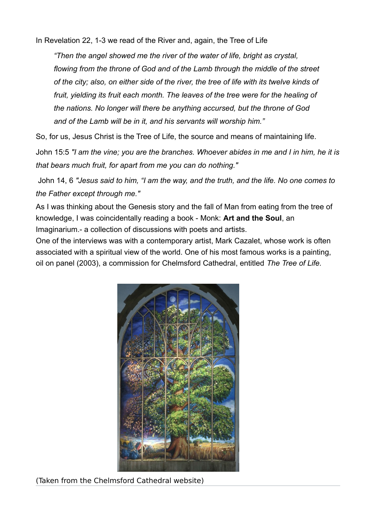In Revelation 22, 1-3 we read of the River and, again, the Tree of Life

*"Then the angel showed me the river of the water of life, bright as crystal, flowing from the throne of God and of the Lamb through the middle of the street of the city; also, on either side of the river, the tree of life with its twelve kinds of fruit, yielding its fruit each month. The leaves of the tree were for the healing of the nations. No longer will there be anything accursed, but the throne of God and of the Lamb will be in it, and his servants will worship him."*

So, for us, Jesus Christ is the Tree of Life, the source and means of maintaining life.

[John 15:5](http://www.christianity.com/bible/search/?ver=niv&q=john+15:5) *"I am the vine; you are the branches. Whoever abides in me and I in him, he it is that bears much fruit, for apart from me you can do nothing."*

John 14, 6 *"Jesus said to him, "I am the way, and the truth, and the life. No one comes to the Father except through me."*

As I was thinking about the Genesis story and the fall of Man from eating from the tree of knowledge, I was coincidentally reading a book - Monk: **Art and the Soul**, an Imaginarium.- a collection of discussions with poets and artists.

One of the interviews was with a contemporary artist, Mark Cazalet, whose work is often associated with a spiritual view of the world. One of his most famous works is a painting, oil on panel (2003), a commission for Chelmsford Cathedral, entitled *The Tree of Life.*



(Taken from the Chelmsford Cathedral website)